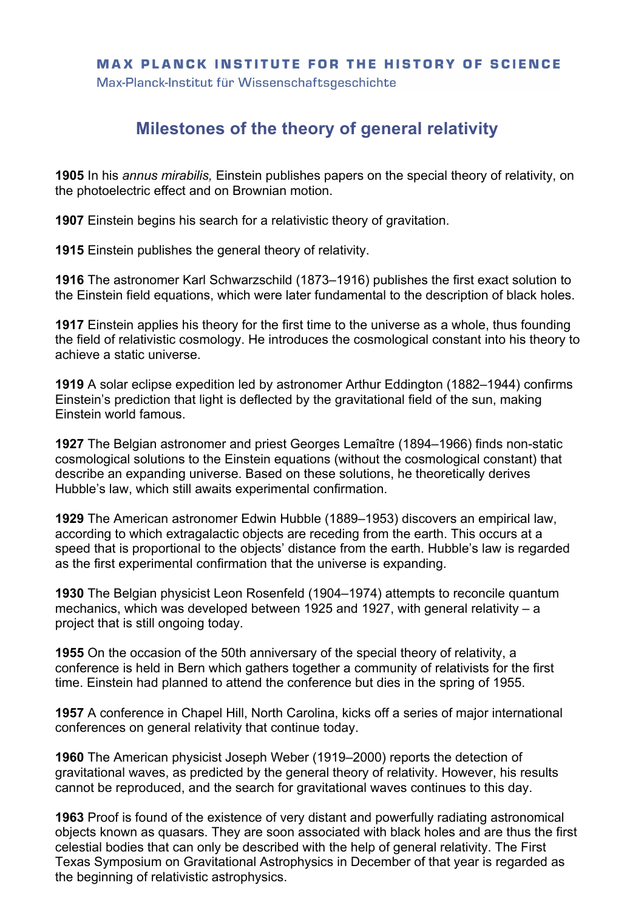## **MAX PLANCK INSTITUTE FOR THE HISTORY OF SCIENCE**

Max-Planck-Institut für Wissenschaftsgeschichte

## **Milestones of the theory of general relativity**

**1905** In his *annus mirabilis,* Einstein publishes papers on the special theory of relativity, on the photoelectric effect and on Brownian motion.

**1907** Einstein begins his search for a relativistic theory of gravitation.

**1915** Einstein publishes the general theory of relativity.

**1916** The astronomer Karl Schwarzschild (1873–1916) publishes the first exact solution to the Einstein field equations, which were later fundamental to the description of black holes.

**1917** Einstein applies his theory for the first time to the universe as a whole, thus founding the field of relativistic cosmology. He introduces the cosmological constant into his theory to achieve a static universe.

**1919** A solar eclipse expedition led by astronomer Arthur Eddington (1882–1944) confirms Einstein's prediction that light is deflected by the gravitational field of the sun, making Einstein world famous.

**1927** The Belgian astronomer and priest Georges Lemaître (1894–1966) finds non-static cosmological solutions to the Einstein equations (without the cosmological constant) that describe an expanding universe. Based on these solutions, he theoretically derives Hubble's law, which still awaits experimental confirmation.

**1929** The American astronomer Edwin Hubble (1889–1953) discovers an empirical law, according to which extragalactic objects are receding from the earth. This occurs at a speed that is proportional to the objects' distance from the earth. Hubble's law is regarded as the first experimental confirmation that the universe is expanding.

**1930** The Belgian physicist Leon Rosenfeld (1904–1974) attempts to reconcile quantum mechanics, which was developed between 1925 and 1927, with general relativity – a project that is still ongoing today.

**1955** On the occasion of the 50th anniversary of the special theory of relativity, a conference is held in Bern which gathers together a community of relativists for the first time. Einstein had planned to attend the conference but dies in the spring of 1955.

**1957** A conference in Chapel Hill, North Carolina, kicks off a series of major international conferences on general relativity that continue today.

**1960** The American physicist Joseph Weber (1919–2000) reports the detection of gravitational waves, as predicted by the general theory of relativity. However, his results cannot be reproduced, and the search for gravitational waves continues to this day.

**1963** Proof is found of the existence of very distant and powerfully radiating astronomical objects known as quasars. They are soon associated with black holes and are thus the first celestial bodies that can only be described with the help of general relativity. The First Texas Symposium on Gravitational Astrophysics in December of that year is regarded as the beginning of relativistic astrophysics.